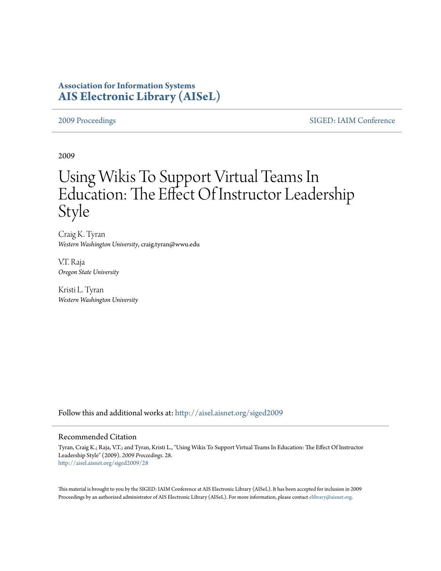# **Association for Information Systems [AIS Electronic Library \(AISeL\)](http://aisel.aisnet.org?utm_source=aisel.aisnet.org%2Fsiged2009%2F28&utm_medium=PDF&utm_campaign=PDFCoverPages)**

[2009 Proceedings](http://aisel.aisnet.org/siged2009?utm_source=aisel.aisnet.org%2Fsiged2009%2F28&utm_medium=PDF&utm_campaign=PDFCoverPages) [SIGED: IAIM Conference](http://aisel.aisnet.org/siged?utm_source=aisel.aisnet.org%2Fsiged2009%2F28&utm_medium=PDF&utm_campaign=PDFCoverPages)

2009

# Using Wikis To Support Virtual Teams In Education: The Effect Of Instructor Leadership Style

Craig K. Tyran *Western Washington University*, craig.tyran@wwu.edu

V.T. Raja *Oregon State University*

Kristi L. Tyran *Western Washington University*

Follow this and additional works at: [http://aisel.aisnet.org/siged2009](http://aisel.aisnet.org/siged2009?utm_source=aisel.aisnet.org%2Fsiged2009%2F28&utm_medium=PDF&utm_campaign=PDFCoverPages)

#### Recommended Citation

Tyran, Craig K.; Raja, V.T.; and Tyran, Kristi L., "Using Wikis To Support Virtual Teams In Education: The Effect Of Instructor Leadership Style" (2009). *2009 Proceedings*. 28. [http://aisel.aisnet.org/siged2009/28](http://aisel.aisnet.org/siged2009/28?utm_source=aisel.aisnet.org%2Fsiged2009%2F28&utm_medium=PDF&utm_campaign=PDFCoverPages)

This material is brought to you by the SIGED: IAIM Conference at AIS Electronic Library (AISeL). It has been accepted for inclusion in 2009 Proceedings by an authorized administrator of AIS Electronic Library (AISeL). For more information, please contact [elibrary@aisnet.org](mailto:elibrary@aisnet.org%3E).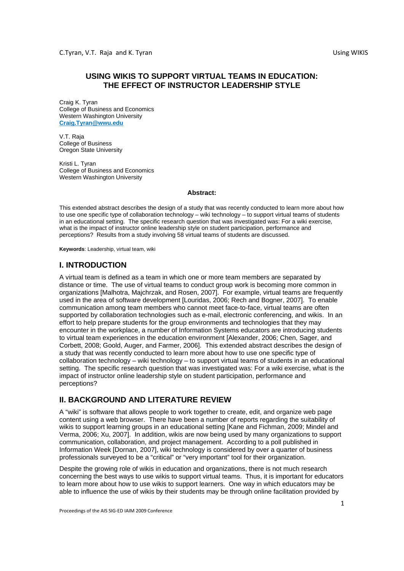# **USING WIKIS TO SUPPORT VIRTUAL TEAMS IN EDUCATION: THE EFFECT OF INSTRUCTOR LEADERSHIP STYLE**

Craig K. Tyran College of Business and Economics Western Washington University **Craig.Tyran@wwu.edu**

V.T. Raja College of Business Oregon State University

Kristi L. Tyran College of Business and Economics Western Washington University

#### **Abstract:**

This extended abstract describes the design of a study that was recently conducted to learn more about how to use one specific type of collaboration technology – wiki technology – to support virtual teams of students in an educational setting. The specific research question that was investigated was: For a wiki exercise, what is the impact of instructor online leadership style on student participation, performance and perceptions? Results from a study involving 58 virtual teams of students are discussed.

**Keywords**: Leadership, virtual team, wiki

# **I. INTRODUCTION**

A virtual team is defined as a team in which one or more team members are separated by distance or time. The use of virtual teams to conduct group work is becoming more common in organizations [Malhotra, Majchrzak, and Rosen, 2007]. For example, virtual teams are frequently used in the area of software development [Louridas, 2006; Rech and Bogner, 2007]. To enable communication among team members who cannot meet face-to-face, virtual teams are often supported by collaboration technologies such as e-mail, electronic conferencing, and wikis. In an effort to help prepare students for the group environments and technologies that they may encounter in the workplace, a number of Information Systems educators are introducing students to virtual team experiences in the education environment [Alexander, 2006; Chen, Sager, and Corbett, 2008; Goold, Auger, and Farmer, 2006]. This extended abstract describes the design of a study that was recently conducted to learn more about how to use one specific type of collaboration technology – wiki technology – to support virtual teams of students in an educational setting. The specific research question that was investigated was: For a wiki exercise, what is the impact of instructor online leadership style on student participation, performance and perceptions?

# **II. BACKGROUND AND LITERATURE REVIEW**

A "wiki" is software that allows people to work together to create, edit, and organize web page content using a web browser. There have been a number of reports regarding the suitability of wikis to support learning groups in an educational setting [Kane and Fichman, 2009; Mindel and Verma, 2006; Xu, 2007]. In addition, wikis are now being used by many organizations to support communication, collaboration, and project management. According to a poll published in Information Week [Dornan, 2007], wiki technology is considered by over a quarter of business professionals surveyed to be a "critical" or "very important" tool for their organization.

Despite the growing role of wikis in education and organizations, there is not much research concerning the best ways to use wikis to support virtual teams. Thus, it is important for educators to learn more about how to use wikis to support learners. One way in which educators may be able to influence the use of wikis by their students may be through online facilitation provided by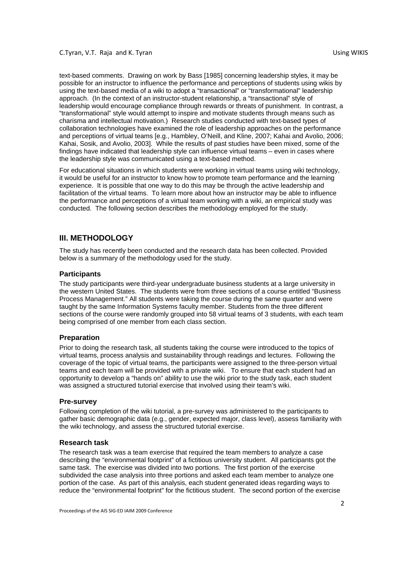text-based comments. Drawing on work by Bass [1985] concerning leadership styles, it may be possible for an instructor to influence the performance and perceptions of students using wikis by using the text-based media of a wiki to adopt a "transactional" or "transformational" leadership approach. (In the context of an instructor-student relationship, a "transactional" style of leadership would encourage compliance through rewards or threats of punishment. In contrast, a "transformational" style would attempt to inspire and motivate students through means such as charisma and intellectual motivation.) Research studies conducted with text-based types of collaboration technologies have examined the role of leadership approaches on the performance and perceptions of virtual teams [e.g., Hambley, O'Neill, and Kline, 2007; Kahai and Avolio, 2006; Kahai, Sosik, and Avolio, 2003]. While the results of past studies have been mixed, some of the findings have indicated that leadership style can influence virtual teams – even in cases where the leadership style was communicated using a text-based method.

For educational situations in which students were working in virtual teams using wiki technology, it would be useful for an instructor to know how to promote team performance and the learning experience. It is possible that one way to do this may be through the active leadership and facilitation of the virtual teams. To learn more about how an instructor may be able to influence the performance and perceptions of a virtual team working with a wiki, an empirical study was conducted. The following section describes the methodology employed for the study.

### **III. METHODOLOGY**

The study has recently been conducted and the research data has been collected. Provided below is a summary of the methodology used for the study.

#### **Participants**

The study participants were third-year undergraduate business students at a large university in the western United States. The students were from three sections of a course entitled "Business Process Management." All students were taking the course during the same quarter and were taught by the same Information Systems faculty member. Students from the three different sections of the course were randomly grouped into 58 virtual teams of 3 students, with each team being comprised of one member from each class section.

#### **Preparation**

Prior to doing the research task, all students taking the course were introduced to the topics of virtual teams, process analysis and sustainability through readings and lectures. Following the coverage of the topic of virtual teams, the participants were assigned to the three-person virtual teams and each team will be provided with a private wiki. To ensure that each student had an opportunity to develop a "hands on" ability to use the wiki prior to the study task, each student was assigned a structured tutorial exercise that involved using their team's wiki.

#### **Pre-survey**

Following completion of the wiki tutorial, a pre-survey was administered to the participants to gather basic demographic data (e.g., gender, expected major, class level), assess familiarity with the wiki technology, and assess the structured tutorial exercise.

#### **Research task**

The research task was a team exercise that required the team members to analyze a case describing the "environmental footprint" of a fictitious university student. All participants got the same task. The exercise was divided into two portions. The first portion of the exercise subdivided the case analysis into three portions and asked each team member to analyze one portion of the case. As part of this analysis, each student generated ideas regarding ways to reduce the "environmental footprint" for the fictitious student. The second portion of the exercise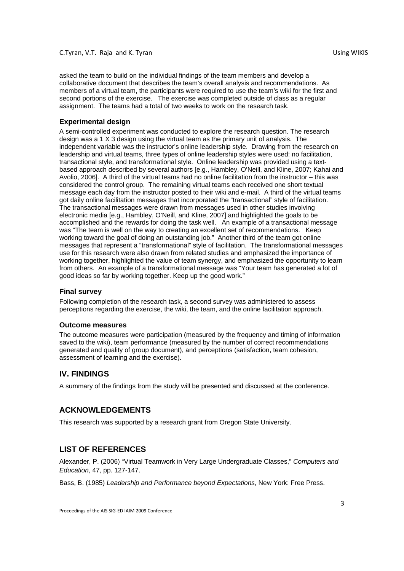asked the team to build on the individual findings of the team members and develop a collaborative document that describes the team's overall analysis and recommendations. As members of a virtual team, the participants were required to use the team's wiki for the first and second portions of the exercise. The exercise was completed outside of class as a regular assignment. The teams had a total of two weeks to work on the research task.

#### **Experimental design**

A semi-controlled experiment was conducted to explore the research question. The research design was a 1 X 3 design using the virtual team as the primary unit of analysis. The independent variable was the instructor's online leadership style. Drawing from the research on leadership and virtual teams, three types of online leadership styles were used: no facilitation, transactional style, and transformational style. Online leadership was provided using a textbased approach described by several authors [e.g., Hambley, O'Neill, and Kline, 2007; Kahai and Avolio, 2006]. A third of the virtual teams had no online facilitation from the instructor – this was considered the control group. The remaining virtual teams each received one short textual message each day from the instructor posted to their wiki and e-mail. A third of the virtual teams got daily online facilitation messages that incorporated the "transactional" style of facilitation. The transactional messages were drawn from messages used in other studies involving electronic media [e.g., Hambley, O'Neill, and Kline, 2007] and highlighted the goals to be accomplished and the rewards for doing the task well. An example of a transactional message was "The team is well on the way to creating an excellent set of recommendations. Keep working toward the goal of doing an outstanding job." Another third of the team got online messages that represent a "transformational" style of facilitation. The transformational messages use for this research were also drawn from related studies and emphasized the importance of working together, highlighted the value of team synergy, and emphasized the opportunity to learn from others. An example of a transformational message was "Your team has generated a lot of good ideas so far by working together. Keep up the good work."

#### **Final survey**

Following completion of the research task, a second survey was administered to assess perceptions regarding the exercise, the wiki, the team, and the online facilitation approach.

#### **Outcome measures**

The outcome measures were participation (measured by the frequency and timing of information saved to the wiki), team performance (measured by the number of correct recommendations generated and quality of group document), and perceptions (satisfaction, team cohesion, assessment of learning and the exercise).

# **IV. FINDINGS**

A summary of the findings from the study will be presented and discussed at the conference.

#### **ACKNOWLEDGEMENTS**

This research was supported by a research grant from Oregon State University.

# **LIST OF REFERENCES**

Alexander, P. (2006) "Virtual Teamwork in Very Large Undergraduate Classes," *Computers and Education*, 47, pp. 127-147.

Bass, B. (1985) *Leadership and Performance beyond Expectations*, New York: Free Press.